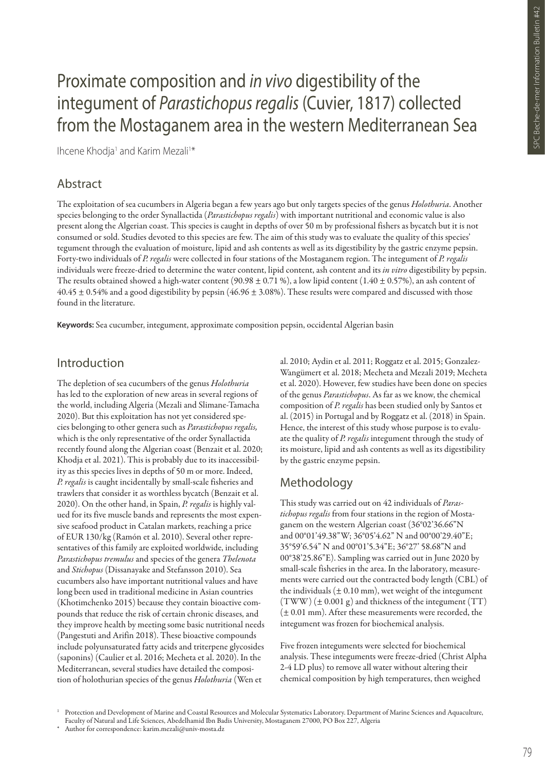# Proximate composition and *in vivo* digestibility of the integument of *Parastichopus regalis* (Cuvier, 1817) collected from the Mostaganem area in the western Mediterranean Sea

Ihcene Khodja<sup>1</sup> and Karim Mezali<sup>1\*</sup>

## Abstract

The exploitation of sea cucumbers in Algeria began a few years ago but only targets species of the genus *Holothuria*. Another species belonging to the order Synallactida (*Parastichopus regalis*) with important nutritional and economic value is also present along the Algerian coast. This species is caught in depths of over 50 m by professional fishers as bycatch but it is not consumed or sold. Studies devoted to this species are few. The aim of this study was to evaluate the quality of this species' tegument through the evaluation of moisture, lipid and ash contents as well as its digestibility by the gastric enzyme pepsin. Forty-two individuals of *P. regalis* were collected in four stations of the Mostaganem region. The integument of *P. regalis* individuals were freeze-dried to determine the water content, lipid content, ash content and its *in vitro* digestibility by pepsin. The results obtained showed a high-water content (90.98  $\pm$  0.71 %), a low lipid content (1.40  $\pm$  0.57%), an ash content of  $40.45 \pm 0.54\%$  and a good digestibility by pepsin ( $46.96 \pm 3.08\%$ ). These results were compared and discussed with those found in the literature.

**Keywords:** Sea cucumber, integument, approximate composition pepsin, occidental Algerian basin

## Introduction

The depletion of sea cucumbers of the genus *Holothuria* has led to the exploration of new areas in several regions of the world, including Algeria (Mezali and Slimane-Tamacha 2020). But this exploitation has not yet considered species belonging to other genera such as *Parastichopus regalis,* which is the only representative of the order Synallactida recently found along the Algerian coast (Benzait et al. 2020; Khodja et al. 2021). This is probably due to its inaccessibility as this species lives in depths of 50 m or more. Indeed, *P. regalis* is caught incidentally by small-scale fisheries and trawlers that consider it as worthless bycatch (Benzait et al. 2020). On the other hand, in Spain, *P. regalis* is highly valued for its five muscle bands and represents the most expensive seafood product in Catalan markets, reaching a price of EUR 130/kg (Ramón et al. 2010). Several other representatives of this family are exploited worldwide, including *Parastichopus tremulus* and species of the genera *Thelenota* and *Stichopus* (Dissanayake and Stefansson 2010). Sea cucumbers also have important nutritional values and have long been used in traditional medicine in Asian countries (Khotimchenko 2015) because they contain bioactive compounds that reduce the risk of certain chronic diseases, and they improve health by meeting some basic nutritional needs (Pangestuti and Arifin 2018). These bioactive compounds include polyunsaturated fatty acids and triterpene glycosides (saponins) (Caulier et al. 2016; Mecheta et al. 2020). In the Mediterranean, several studies have detailed the composition of holothurian species of the genus *Holothuria* (Wen et

al. 2010; Aydin et al. 2011; Roggatz et al. 2015; Gonzalez-Wangümert et al. 2018; Mecheta and Mezali 2019; Mecheta et al. 2020). However, few studies have been done on species of the genus *Parastichopus*. As far as we know, the chemical composition of *P. regalis* has been studied only by Santos et al. (2015) in Portugal and by Roggatz et al. (2018) in Spain. Hence, the interest of this study whose purpose is to evaluate the quality of *P. regalis* integument through the study of its moisture, lipid and ash contents as well as its digestibility by the gastric enzyme pepsin.

## Methodology

This study was carried out on 42 individuals of *Parastichopus regalis* from four stations in the region of Mostaganem on the western Algerian coast (36°02'36.66"N and 00°01'49.38"W; 36°05'4.62" N and 00°00'29.40"E; 35°59'6.54" N and 00°01'5.34"E; 36°27' 58.68"N and 00°38'25.86"E). Sampling was carried out in June 2020 by small-scale fisheries in the area. In the laboratory, measurements were carried out the contracted body length (CBL) of the individuals  $(\pm 0.10 \text{ mm})$ , wet weight of the integument  $(TWW)$  ( $\pm$  0.001 g) and thickness of the integument (TT)  $(\pm 0.01$  mm). After these measurements were recorded, the integument was frozen for biochemical analysis.

Five frozen integuments were selected for biochemical analysis. These integuments were freeze-dried (Christ Alpha 2-4 LD plus) to remove all water without altering their chemical composition by high temperatures, then weighed

<sup>&</sup>lt;sup>1</sup> Protection and Development of Marine and Coastal Resources and Molecular Systematics Laboratory. Department of Marine Sciences and Aquaculture, Faculty of Natural and Life Sciences, Abedelhamid Ibn Badis University, Mostaganem 27000, PO Box 227, Algeria

Author for correspondence: karim.mezali@univ-mosta.dz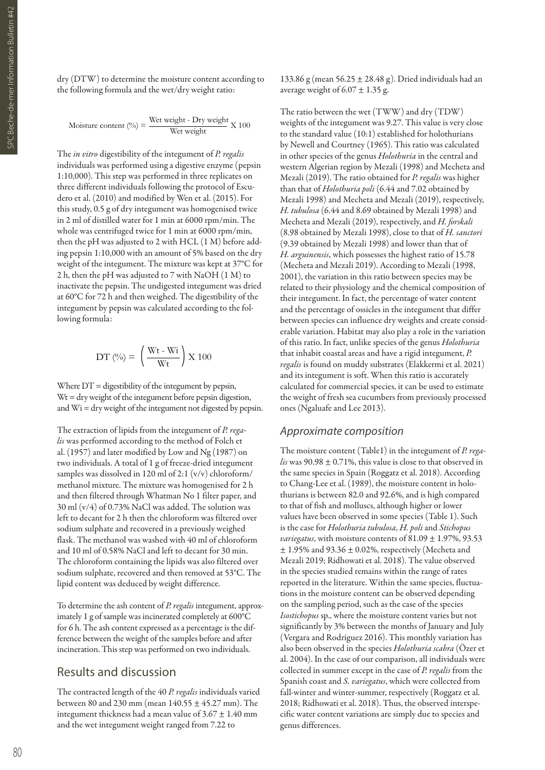dry (DTW) to determine the moisture content according to the following formula and the wet/dry weight ratio:

$$
Moisture content (%) = \frac{Wet weight - Dry weight}{Wet weight} X 100
$$

The *in vitro* digestibility of the integument of *P. regalis* individuals was performed using a digestive enzyme (pepsin 1:10,000). This step was performed in three replicates on three different individuals following the protocol of Escudero et al. (2010) and modified by Wen et al. (2015). For this study, 0.5 g of dry integument was homogenised twice in 2 ml of distilled water for 1 min at 6000 rpm/min. The whole was centrifuged twice for 1 min at 6000 rpm/min, then the pH was adjusted to 2 with HCL (1 M) before adding pepsin 1:10,000 with an amount of 5% based on the dry weight of the integument. The mixture was kept at 37°C for 2 h, then the pH was adjusted to 7 with NaOH (1 M) to inactivate the pepsin. The undigested integument was dried at 60°C for 72 h and then weighed. The digestibility of the integument by pepsin was calculated according to the following formula:

$$
DT\ (\%)=\ \left(\frac{\ {\rm Wt\text{-}Wi}}{\ {\rm Wt}}\right){\rm X}\ 100
$$

Where  $DT =$  digestibility of the integument by pepsin,  $Wt = dry$  weight of the integument before pepsin digestion, and Wi = dry weight of the integument not digested by pepsin.

The extraction of lipids from the integument of *P. regalis* was performed according to the method of Folch et al. (1957) and later modified by Low and Ng (1987) on two individuals. A total of 1 g of freeze-dried integument samples was dissolved in 120 ml of 2:1 (v/v) chloroform/ methanol mixture. The mixture was homogenised for 2 h and then filtered through Whatman No 1 filter paper, and 30 ml (v/4) of 0.73% NaCl was added. The solution was left to decant for 2 h then the chloroform was filtered over sodium sulphate and recovered in a previously weighed flask. The methanol was washed with 40 ml of chloroform and 10 ml of 0.58% NaCl and left to decant for 30 min. The chloroform containing the lipids was also filtered over sodium sulphate, recovered and then removed at 53°C. The lipid content was deduced by weight difference.

To determine the ash content of *P. regalis* integument, approximately 1 g of sample was incinerated completely at 600°C for 6 h. The ash content expressed as a percentage is the difference between the weight of the samples before and after incineration. This step was performed on two individuals.

#### Results and discussion

The contracted length of the 40 *P. regalis* individuals varied between 80 and 230 mm (mean  $140.55 \pm 45.27$  mm). The integument thickness had a mean value of  $3.67 \pm 1.40$  mm and the wet integument weight ranged from 7.22 to

133.86 g (mean 56.25 ± 28.48 g). Dried individuals had an average weight of  $6.07 \pm 1.35$  g.

The ratio between the wet (TWW) and dry (TDW) weights of the integument was 9.27. This value is very close to the standard value (10:1) established for holothurians by Newell and Courtney (1965). This ratio was calculated in other species of the genus *Holothuria* in the central and western Algerian region by Mezali (1998) and Mecheta and Mezali (2019). The ratio obtained for *P. regalis* was higher than that of *Holothuria poli* (6.44 and 7.02 obtained by Mezali 1998) and Mecheta and Mezali (2019), respectively, *H. tubulosa* (6.44 and 8.69 obtained by Mezali 1998) and Mecheta and Mezali (2019), respectively, and *H. forskali* (8.98 obtained by Mezali 1998), close to that of *H. sanctori* (9.39 obtained by Mezali 1998) and lower than that of *H. arguinensis*, which possesses the highest ratio of 15.78 (Mecheta and Mezali 2019). According to Mezali (1998, 2001), the variation in this ratio between species may be related to their physiology and the chemical composition of their integument. In fact, the percentage of water content and the percentage of ossicles in the integument that differ between species can influence dry weights and create considerable variation. Habitat may also play a role in the variation of this ratio. In fact, unlike species of the genus *Holothuria* that inhabit coastal areas and have a rigid integument, *P. regalis* is found on muddy substrates (Elakkermi et al. 2021) and its integument is soft. When this ratio is accurately calculated for commercial species, it can be used to estimate the weight of fresh sea cucumbers from previously processed ones (Ngaluafe and Lee 2013).

#### *Approximate composition*

The moisture content (Table1) in the integument of *P. regalis* was 90.98 ± 0.71%, this value is close to that observed in the same species in Spain (Roggatz et al. 2018). According to Chang-Lee et al. (1989), the moisture content in holothurians is between 82.0 and 92.6%, and is high compared to that of fish and molluscs, although higher or lower values have been observed in some species (Table 1). Such is the case for *Holothuria tubulosa*, *H. poli* and *Stichopus variegatus*, with moisture contents of 81.09 ± 1.97%, 93.53  $\pm$  1.95% and 93.36  $\pm$  0.02%, respectively (Mecheta and Mezali 2019; Ridhowati et al. 2018). The value observed in the species studied remains within the range of rates reported in the literature. Within the same species, fluctuations in the moisture content can be observed depending on the sampling period, such as the case of the species *Isostichopus* sp., where the moisture content varies but not significantly by 3% between the months of January and July (Vergara and Rodríguez 2016). This monthly variation has also been observed in the species *Holothuria scabra* (Özer et al. 2004). In the case of our comparison, all individuals were collected in summer except in the case of *P. regalis* from the Spanish coast and *S. variegatus*, which were collected from fall-winter and winter-summer, respectively (Roggatz et al. 2018; Ridhowati et al. 2018). Thus, the observed interspecific water content variations are simply due to species and genus differences.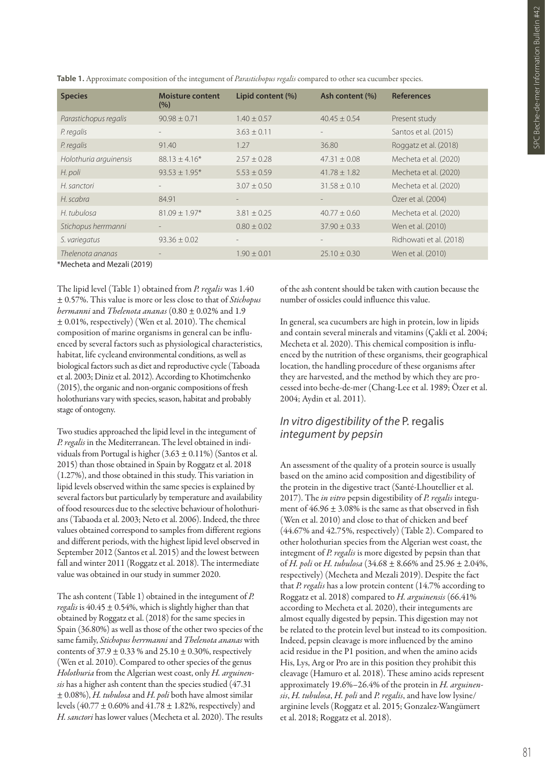| <b>Species</b>         | <b>Moisture content</b><br>(%) | Lipid content (%)        | Ash content (%)   | <b>References</b>       |
|------------------------|--------------------------------|--------------------------|-------------------|-------------------------|
| Parastichopus regalis  | $90.98 \pm 0.71$               | $1.40 \pm 0.57$          | $40.45 \pm 0.54$  | Present study           |
| P. regalis             |                                | $3.63 + 0.11$            | $\equiv$          | Santos et al. (2015)    |
| P. regalis             | 91.40                          | 1.27                     | 36.80             | Roggatz et al. (2018)   |
| Holothuria arguinensis | $88.13 + 4.16*$                | $2.57 + 0.28$            | $47.31 + 0.08$    | Mecheta et al. (2020)   |
| H. poli                | $93.53 \pm 1.95*$              | $5.53 \pm 0.59$          | $41.78 \pm 1.82$  | Mecheta et al. (2020)   |
| H. sanctori            |                                | $3.07 + 0.50$            | $31.58 + 0.10$    | Mecheta et al. (2020)   |
| H. scabra              | 84.91                          | $\overline{\phantom{a}}$ | $\qquad \qquad -$ | Özer et al. (2004)      |
| H. tubulosa            | $81.09 \pm 1.97*$              | $3.81 \pm 0.25$          | $40.77 + 0.60$    | Mecheta et al. (2020)   |
| Stichopus herrmanni    |                                | $0.80 \pm 0.02$          | $37.90 \pm 0.33$  | Wen et al. (2010)       |
| S. variegatus          | $93.36 \pm 0.02$               | $\overline{\phantom{m}}$ | $\qquad \qquad -$ | Ridhowati et al. (2018) |
| Thelenota ananas       |                                | $1.90 \pm 0.01$          | $25.10 \pm 0.30$  | Wen et al. (2010)       |

**Table 1.** Approximate composition of the integument of *Parastichopus regalis* compared to other sea cucumber species.

\*Mecheta and Mezali (2019)

The lipid level (Table 1) obtained from *P. regalis* was 1.40 ± 0.57%. This value is more or less close to that of *Stichopus hermanni* and *Thelenota ananas* (0.80 ± 0.02% and 1.9 ± 0.01%, respectively) (Wen et al. 2010). The chemical composition of marine organisms in general can be influenced by several factors such as physiological characteristics, habitat, life cycleand environmental conditions, as well as biological factors such as diet and reproductive cycle (Taboada et al. 2003; Diniz et al. 2012). According to Khotimchenko (2015), the organic and non-organic compositions of fresh holothurians vary with species, season, habitat and probably stage of ontogeny.

Two studies approached the lipid level in the integument of *P. regalis* in the Mediterranean. The level obtained in individuals from Portugal is higher  $(3.63 \pm 0.11\%)$  (Santos et al. 2015) than those obtained in Spain by Roggatz et al. 2018 (1.27%), and those obtained in this study. This variation in lipid levels observed within the same species is explained by several factors but particularly by temperature and availability of food resources due to the selective behaviour of holothurians (Tabaoda et al. 2003; Neto et al. 2006). Indeed, the three values obtained correspond to samples from different regions and different periods, with the highest lipid level observed in September 2012 (Santos et al. 2015) and the lowest between fall and winter 2011 (Roggatz et al. 2018). The intermediate value was obtained in our study in summer 2020.

The ash content (Table 1) obtained in the integument of *P. regalis* is  $40.45 \pm 0.54$ %, which is slightly higher than that obtained by Roggatz et al. (2018) for the same species in Spain (36.80%) as well as those of the other two species of the same family, *Stichopus herrmanni* and *Thelenota ananas* with contents of  $37.9 \pm 0.33$  % and  $25.10 \pm 0.30$ %, respectively (Wen et al. 2010). Compared to other species of the genus *Holothuria* from the Algerian west coast, only *H. arguinensis* has a higher ash content than the species studied (47.31 ± 0.08%), *H. tubulosa* and *H. poli* both have almost similar levels (40.77 ± 0.60% and 41.78 ± 1.82%, respectively) and *H. sanctori* has lower values (Mecheta et al. 2020). The results of the ash content should be taken with caution because the number of ossicles could influence this value.

In general, sea cucumbers are high in protein, low in lipids and contain several minerals and vitamins (Çakli et al. 2004; Mecheta et al. 2020). This chemical composition is influenced by the nutrition of these organisms, their geographical location, the handling procedure of these organisms after they are harvested, and the method by which they are processed into beche-de-mer (Chang-Lee et al. 1989; Özer et al. 2004; Aydin et al. 2011).

### *In vitro digestibility of the* P. regalis *integument by pepsin*

An assessment of the quality of a protein source is usually based on the amino acid composition and digestibility of the protein in the digestive tract (Santé-Lhoutellier et al. 2017). The *in vitro* pepsin digestibility of *P. regalis* integument of  $46.96 \pm 3.08\%$  is the same as that observed in fish (Wen et al. 2010) and close to that of chicken and beef (44.67% and 42.75%, respectively) (Table 2). Compared to other holothurian species from the Algerian west coast, the integment of *P. regalis* is more digested by pepsin than that of *H. poli* or *H. tubulosa* (34.68 ± 8.66% and 25.96 ± 2.04%, respectively) (Mecheta and Mezali 2019). Despite the fact that *P. regalis* has a low protein content (14.7% according to Roggatz et al. 2018) compared to *H. arguinensis* (66.41% according to Mecheta et al. 2020), their integuments are almost equally digested by pepsin. This digestion may not be related to the protein level but instead to its composition. Indeed, pepsin cleavage is more influenced by the amino acid residue in the P1 position, and when the amino acids His, Lys, Arg or Pro are in this position they prohibit this cleavage (Hamuro et al. 2018). These amino acids represent approximately 19.6%–26.4% of the protein in *H. arguinensis*, *H. tubulosa*, *H. poli* and *P. regalis*, and have low lysine/ arginine levels (Roggatz et al. 2015; Gonzalez-Wangümert et al. 2018; Roggatz et al. 2018).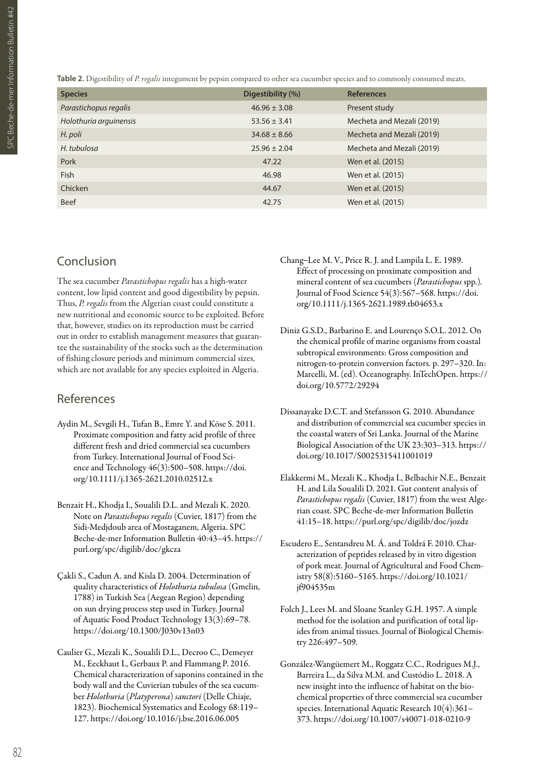**Table 2.** Digestibility of *P. regalis* integument by pepsin compared to other sea cucumber species and to commonly consumed meats.

| <b>Species</b>         | Digestibility (%) | <b>References</b>         |
|------------------------|-------------------|---------------------------|
| Parastichopus regalis  | $46.96 \pm 3.08$  | Present study             |
| Holothuria arguinensis | $53.56 \pm 3.41$  | Mecheta and Mezali (2019) |
| H. poli                | $34.68 \pm 8.66$  | Mecheta and Mezali (2019) |
| H. tubulosa            | $25.96 \pm 2.04$  | Mecheta and Mezali (2019) |
| Pork                   | 47.22             | Wen et al. (2015)         |
| <b>Fish</b>            | 46.98             | Wen et al. (2015)         |
| Chicken                | 44.67             | Wen et al. (2015)         |
| <b>Beef</b>            | 42.75             | Wen et al. (2015)         |

## Conclusion

The sea cucumber *Parastichopus regalis* has a high-water content, low lipid content and good digestibility by pepsin. Thus, *P. regalis* from the Algerian coast could constitute a new nutritional and economic source to be exploited. Before that, however, studies on its reproduction must be carried out in order to establish management measures that guarantee the sustainability of the stocks such as the determination of fishing closure periods and minimum commercial sizes, which are not available for any species exploited in Algeria.

#### References

- Aydin M., Sevgili H., Tufan B., Emre Y. and Köse S. 2011. Proximate composition and fatty acid profile of three different fresh and dried commercial sea cucumbers from Turkey. International Journal of Food Science and Technology 46(3):500–508. https://doi. org/10.1111/j.1365-2621.2010.02512.x
- Benzait H., Khodja I., Soualili D.L. and Mezali K. 2020. Note on *Parastichopus regalis* (Cuvier, 1817) from the Sidi-Medjdoub area of Mostaganem, Algeria. SPC Beche-de-mer Information Bulletin 40:43–45. https:// purl.org/spc/digilib/doc/gkcza
- Çakli S., Cadun A. and Kisla D. 2004. Determination of quality characteristics of *Holothuria tubulosa* (Gmelin, 1788) in Turkish Sea (Aegean Region) depending on sun drying process step used in Turkey. Journal of Aquatic Food Product Technology 13(3):69–78. https://doi.org/10.1300/J030v13n03
- Caulier G., Mezali K., Soualili D.L., Decroo C., Demeyer M., Eeckhaut I., Gerbaux P. and Flammang P. 2016. Chemical characterization of saponins contained in the body wall and the Cuvierian tubules of the sea cucumber *Holothuria* (*Platyperona*) *sanctori* (Delle Chiaje, 1823). Biochemical Systematics and Ecology 68:119– 127. https://doi.org/10.1016/j.bse.2016.06.005
- Chang–Lee M. V., Price R. J. and Lampila L. E. 1989. Effect of processing on proximate composition and mineral content of sea cucumbers (*Parastichopus* spp.)*.* Journal of Food Science 54(3):567–568. https://doi. org/10.1111/j.1365-2621.1989.tb04653.x
- Diniz G.S.D., Barbarino E. and Lourenço S.O.L. 2012. On the chemical profile of marine organisms from coastal subtropical environments: Gross composition and nitrogen-to-protein conversion factors. p. 297–320. In: Marcelli, M. (ed). Oceanography. InTechOpen. https:// doi.org/10.5772/29294
- Dissanayake D.C.T. and Stefansson G. 2010. Abundance and distribution of commercial sea cucumber species in the coastal waters of Sri Lanka. Journal of the Marine Biological Association of the UK 23:303–313. https:// doi.org/10.1017/S0025315411001019
- Elakkermi M., Mezali K., Khodja I., Belbachir N.E., Benzait H. and Lila Soualili D. 2021. Gut content analysis of *Parastichopus regalis* (Cuvier, 1817) from the west Algerian coast. SPC Beche-de-mer Information Bulletin 41:15–18. https://purl.org/spc/digilib/doc/jozdz
- Escudero E., Sentandreu M. Á. and Toldrá F. 2010. Characterization of peptides released by in vitro digestion of pork meat. Journal of Agricultural and Food Chemistry 58(8):5160–5165. https://doi.org/10.1021/ jf904535m
- Folch J., Lees M. and Sloane Stanley G.H. 1957. A simple method for the isolation and purification of total lipides from animal tissues. Journal of Biological Chemistry 226:497–509.
- González-Wangüemert M., Roggatz C.C., Rodrigues M.J., Barreira L., da Silva M.M. and Custódio L. 2018. A new insight into the influence of habitat on the biochemical properties of three commercial sea cucumber species. International Aquatic Research 10(4):361– 373. https://doi.org/10.1007/s40071-018-0210-9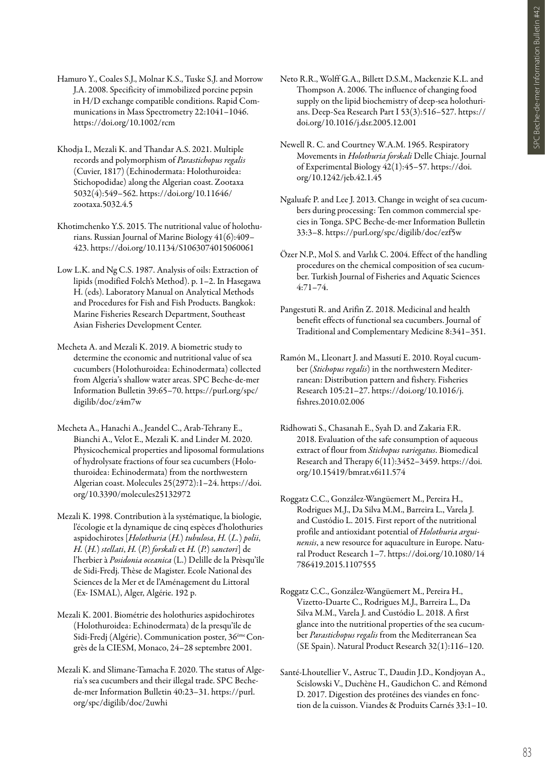- Hamuro Y., Coales S.J., Molnar K.S., Tuske S.J. and Morrow J.A. 2008. Specificity of immobilized porcine pepsin in H/D exchange compatible conditions. Rapid Communications in Mass Spectrometry 22:1041–1046. https://doi.org/10.1002/rcm
- Khodja I., Mezali K. and Thandar A.S. 2021. Multiple records and polymorphism of *Parastichopus regalis* (Cuvier, 1817) (Echinodermata: Holothuroidea: Stichopodidae) along the Algerian coast. Zootaxa 5032(4):549–562. https://doi.org/10.11646/ zootaxa.5032.4.5
- Khotimchenko Y.S. 2015. The nutritional value of holothurians. Russian Journal of Marine Biology 41(6):409– 423. https://doi.org/10.1134/S1063074015060061
- Low L.K. and Ng C.S. 1987. Analysis of oils: Extraction of lipids (modified Folch's Method). p. 1–2. In Hasegawa H. (eds). Laboratory Manual on Analytical Methods and Procedures for Fish and Fish Products. Bangkok: Marine Fisheries Research Department, Southeast Asian Fisheries Development Center.
- Mecheta A. and Mezali K. 2019. A biometric study to determine the economic and nutritional value of sea cucumbers (Holothuroidea: Echinodermata) collected from Algeria's shallow water areas. SPC Beche-de-mer Information Bulletin 39:65–70. https://purl.org/spc/ digilib/doc/z4m7w
- Mecheta A., Hanachi A., Jeandel C., Arab-Tehrany E., Bianchi A., Velot E., Mezali K. and Linder M. 2020. Physicochemical properties and liposomal formulations of hydrolysate fractions of four sea cucumbers (Holothuroidea: Echinodermata) from the northwestern Algerian coast. Molecules 25(2972):1–24. https://doi. org/10.3390/molecules25132972
- Mezali K. 1998. Contribution à la systématique, la biologie, l'écologie et la dynamique de cinq espèces d'holothuries aspidochirotes [*Holothuria* (*H.*) *tubulosa*, *H.* (*L.*) *polii*, *H.* (*H.*) *stellati*, *H.* (*P.*) *forskali* et *H.* (*P.*) *sanctori*] de l'herbier à *Posidonia oceanica* (L.) Delille de la Prèsqu'île de Sidi-Fredj. Thèse de Magister. Ecole National des Sciences de la Mer et de l'Aménagement du Littoral (Ex- ISMAL), Alger, Algérie. 192 p.
- Mezali K. 2001. Biométrie des holothuries aspidochirotes (Holothuroidea: Echinodermata) de la presqu'île de Sidi-Fredj (Algérie). Communication poster, 36<sup>ème</sup>Congrès de la CIESM, Monaco, 24–28 septembre 2001.
- Mezali K. and Slimane-Tamacha F. 2020. The status of Algeria's sea cucumbers and their illegal trade. SPC Bechede-mer Information Bulletin 40:23–31. https://purl. org/spc/digilib/doc/2uwhi
- Neto R.R., Wolff G.A., Billett D.S.M., Mackenzie K.L. and Thompson A. 2006. The influence of changing food supply on the lipid biochemistry of deep-sea holothurians. Deep-Sea Research Part I 53(3):516–527. https:// doi.org/10.1016/j.dsr.2005.12.001
- Newell R. C. and Courtney W.A.M. 1965. Respiratory Movements in *Holothuria forskali* Delle Chiaje. Journal of Experimental Biology 42(1):45–57. https://doi. org/10.1242/jeb.42.1.45
- Ngaluafe P. and Lee J. 2013. Change in weight of sea cucumbers during processing: Ten common commercial species in Tonga. SPC Beche-de-mer Information Bulletin 33:3–8. https://purl.org/spc/digilib/doc/ezf5w
- Özer N.P., Mol S. and Varlık C. 2004. Effect of the handling procedures on the chemical composition of sea cucumber. Turkish Journal of Fisheries and Aquatic Sciences 4:71–74.
- Pangestuti R. and Arifin Z. 2018. Medicinal and health benefit effects of functional sea cucumbers. Journal of Traditional and Complementary Medicine 8:341–351.
- Ramón M., Lleonart J. and Massutí E. 2010. Royal cucumber (*Stichopus regalis*) in the northwestern Mediterranean: Distribution pattern and fishery. Fisheries Research 105:21–27. https://doi.org/10.1016/j. fishres.2010.02.006
- Ridhowati S., Chasanah E., Syah D. and Zakaria F.R. 2018. Evaluation of the safe consumption of aqueous extract of flour from *Stichopus variegatus*. Biomedical Research and Therapy 6(11):3452–3459. https://doi. org/10.15419/bmrat.v6i11.574
- Roggatz C.C., González-Wangüemert M., Pereira H., Rodrigues M.J., Da Silva M.M., Barreira L., Varela J. and Custódio L. 2015. First report of the nutritional profile and antioxidant potential of *Holothuria arguinensis*, a new resource for aquaculture in Europe. Natural Product Research 1–7. https://doi.org/10.1080/14 786419.2015.1107555
- Roggatz C.C., González-Wangüemert M., Pereira H., Vizetto-Duarte C., Rodrigues M.J., Barreira L., Da Silva M.M., Varela J. and Custódio L. 2018. A first glance into the nutritional properties of the sea cucumber *Parastichopus regalis* from the Mediterranean Sea (SE Spain). Natural Product Research 32(1):116–120.
- Santé-Lhoutellier V., Astruc T., Daudin J.D., Kondjoyan A., Scislowski V., Duchène H., Gaudichon C. and Rémond D. 2017. Digestion des protéines des viandes en fonction de la cuisson. Viandes & Produits Carnés 33:1–10.